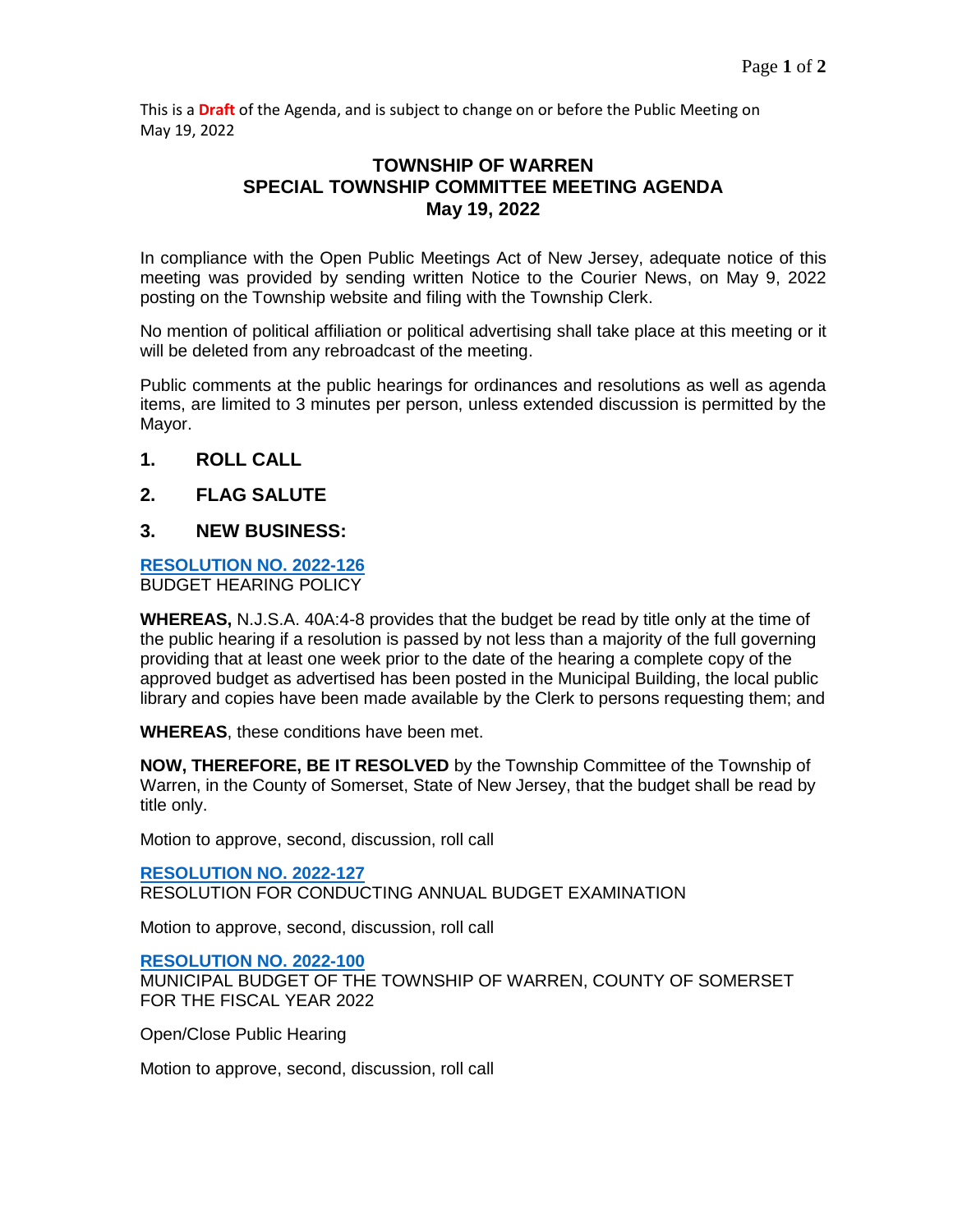This is a **Draft** of the Agenda, and is subject to change on or before the Public Meeting on May 19, 2022

## **TOWNSHIP OF WARREN SPECIAL TOWNSHIP COMMITTEE MEETING AGENDA May 19, 2022**

In compliance with the Open Public Meetings Act of New Jersey, adequate notice of this meeting was provided by sending written Notice to the Courier News, on May 9, 2022 posting on the Township website and filing with the Township Clerk.

No mention of political affiliation or political advertising shall take place at this meeting or it will be deleted from any rebroadcast of the meeting.

Public comments at the public hearings for ordinances and resolutions as well as agenda items, are limited to 3 minutes per person, unless extended discussion is permitted by the Mayor.

- **1. ROLL CALL**
- **2. FLAG SALUTE**

### **3. NEW BUSINESS:**

#### **[RESOLUTION NO. 2022-126](https://www.warrennj.org/DocumentCenter/View/5832/2022-126-Budget-Hearing-Policy-PDF)** BUDGET HEARING POLICY

**WHEREAS,** N.J.S.A. 40A:4-8 provides that the budget be read by title only at the time of the public hearing if a resolution is passed by not less than a majority of the full governing providing that at least one week prior to the date of the hearing a complete copy of the approved budget as advertised has been posted in the Municipal Building, the local public library and copies have been made available by the Clerk to persons requesting them; and

**WHEREAS**, these conditions have been met.

**NOW, THEREFORE, BE IT RESOLVED** by the Township Committee of the Township of Warren, in the County of Somerset, State of New Jersey, that the budget shall be read by title only.

Motion to approve, second, discussion, roll call

#### **[RESOLUTION NO. 2022-127](https://warrennj.org/DocumentCenter/View/5839/2022-127-Budget-Self-Exam-and-Certification-PDF)**

RESOLUTION FOR CONDUCTING ANNUAL BUDGET EXAMINATION

Motion to approve, second, discussion, roll call

#### **[RESOLUTION NO. 2022-100](https://www.warrennj.org/DocumentCenter/View/5835/2022-100C-REVENUES-APPROPRIATIONS-PDF)**

MUNICIPAL BUDGET OF THE TOWNSHIP OF WARREN, COUNTY OF SOMERSET FOR THE FISCAL YEAR 2022

Open/Close Public Hearing

Motion to approve, second, discussion, roll call